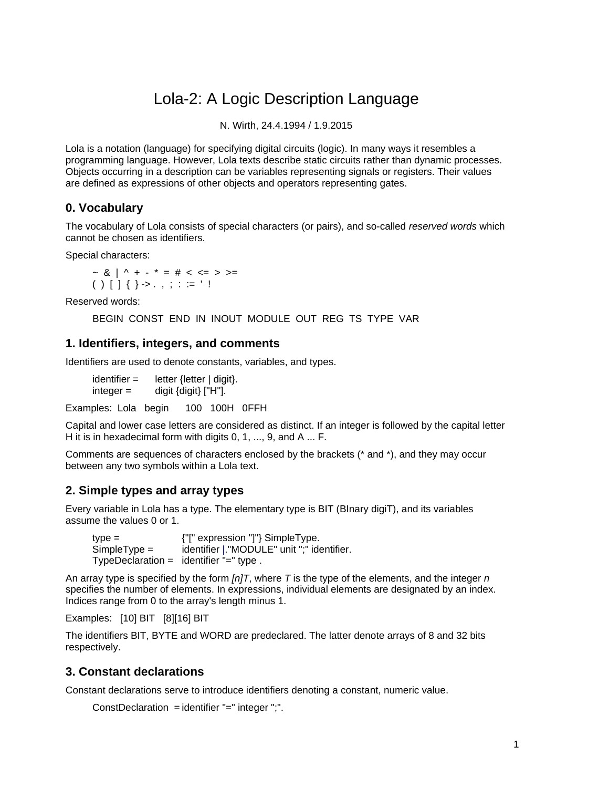# Lola-2: A Logic Description Language

#### N. Wirth, 24.4.1994 / 1.9.2015

Lola is a notation (language) for specifying digital circuits (logic). In many ways it resembles a programming language. However, Lola texts describe static circuits rather than dynamic processes. Objects occurring in a description can be variables representing signals or registers. Their values are defined as expressions of other objects and operators representing gates.

## **0. Vocabulary**

The vocabulary of Lola consists of special characters (or pairs), and so-called *reserved words* which cannot be chosen as identifiers.

Special characters:

 $\sim$  8 | ^ + -  $\ast$  = # < <= > >=  $( ) [ ] { } \leftrightarrow . , ; : = ' !$ 

Reserved words:

BEGIN CONST END IN INOUT MODULE OUT REG TS TYPE VAR

### **1. Identifiers, integers, and comments**

Identifiers are used to denote constants, variables, and types.

 $identifier =$  letter {letter | digit}.  $integer =$  digit  ${digit}$  ["H"].

Examples: Lola begin 100 100H 0FFH

Capital and lower case letters are considered as distinct. If an integer is followed by the capital letter H it is in hexadecimal form with digits 0, 1, ..., 9, and A ... F.

Comments are sequences of characters enclosed by the brackets (\* and \*), and they may occur between any two symbols within a Lola text.

### **2. Simple types and array types**

Every variable in Lola has a type. The elementary type is BIT (BInary digiT), and its variables assume the values 0 or 1.

 $type =$  {"[" expression "]"} SimpleType. SimpleType = identifier |."MODULE" unit ";" identifier. TypeDeclaration = identifier "=" type .

An array type is specified by the form *[n]T*, where *T* is the type of the elements, and the integer *n* specifies the number of elements. In expressions, individual elements are designated by an index. Indices range from 0 to the array's length minus 1.

Examples: [10] BIT [8][16] BIT

The identifiers BIT, BYTE and WORD are predeclared. The latter denote arrays of 8 and 32 bits respectively.

# **3. Constant declarations**

Constant declarations serve to introduce identifiers denoting a constant, numeric value.

```
ConstDeclaration = identifier "=" integer ";".
```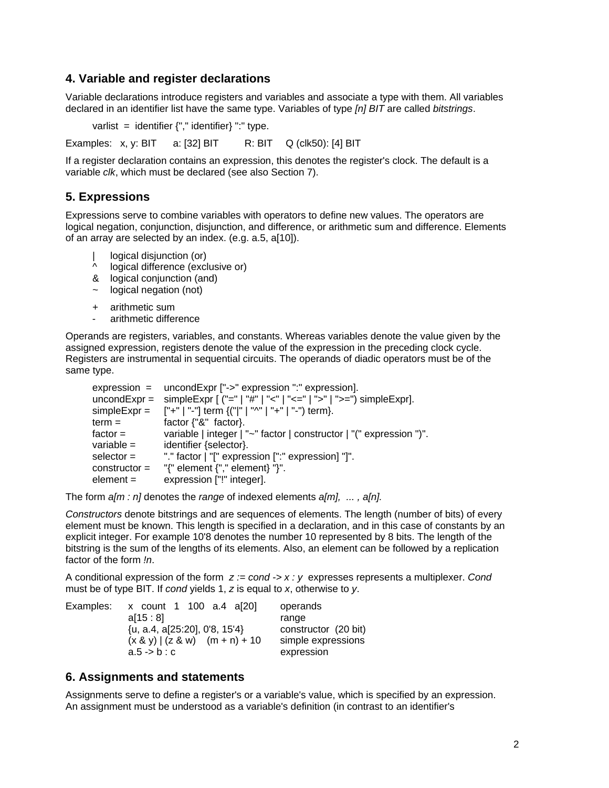#### **4. Variable and register declarations**

Variable declarations introduce registers and variables and associate a type with them. All variables declared in an identifier list have the same type. Variables of type *[n] BIT* are called *bitstrings*.

varlist = identifier  ${''}$ ," identifier $}$  ":" type.

Examples: x, y: BIT a: [32] BIT R: BIT Q (clk50): [4] BIT

If a register declaration contains an expression, this denotes the register's clock. The default is a variable *clk*, which must be declared (see also Section 7).

## **5. Expressions**

Expressions serve to combine variables with operators to define new values. The operators are logical negation, conjunction, disjunction, and difference, or arithmetic sum and difference. Elements of an array are selected by an index. (e.g. a.5, a[10]).

- | logical disjunction (or)
- ^ logical difference (exclusive or)
- & logical conjunction (and)
- ~ logical negation (not)
- + arithmetic sum
- arithmetic difference

Operands are registers, variables, and constants. Whereas variables denote the value given by the assigned expression, registers denote the value of the expression in the preceding clock cycle. Registers are instrumental in sequential circuits. The operands of diadic operators must be of the same type.

```
expression = uncondExpr ["->" expression ":" expression]. 
uncondExpr = simpleExpr [ ("=" | "#" | "<" | "<=" | ">" | ">=") simpleExpr].
simpleExpr = ["+" | "-"] term \{ ("|" | "^" | "+" | "-") term }.
term = factor \{``\&\text{''} factor\}.
factor = variable | integer | "~" factor | constructor | "(" expression ")". 
variable = identifier {selector}.
selector = "." factor | "[" expression [":" expression] "]". 
constructor = "{" element {"," element} "}".
element = expression ["!" integer].
```
The form *a[m : n]* denotes the *range* of indexed elements *a[m], ... , a[n].* 

*Constructors* denote bitstrings and are sequences of elements. The length (number of bits) of every element must be known. This length is specified in a declaration, and in this case of constants by an explicit integer. For example 10'8 denotes the number 10 represented by 8 bits. The length of the bitstring is the sum of the lengths of its elements. Also, an element can be followed by a replication factor of the form *!n*.

A conditional expression of the form *z := cond -> x : y* expresses represents a multiplexer. *Cond* must be of type BIT. If *cond* yields 1, *z* is equal to *x*, otherwise to *y*.

| Examples: | x count 1 100 a.4 a[20]            | operands             |
|-----------|------------------------------------|----------------------|
|           | a[15:8]                            | range                |
|           | $\{u, a.4, a[25:20], 0.8, 15.4\}$  | constructor (20 bit) |
|           | $(x 8 y)$ $(z 8 w)$ $(m + n) + 10$ | simple expressions   |
|           | $a.5 - b. c$                       | expression           |

# **6. Assignments and statements**

Assignments serve to define a register's or a variable's value, which is specified by an expression. An assignment must be understood as a variable's definition (in contrast to an identifier's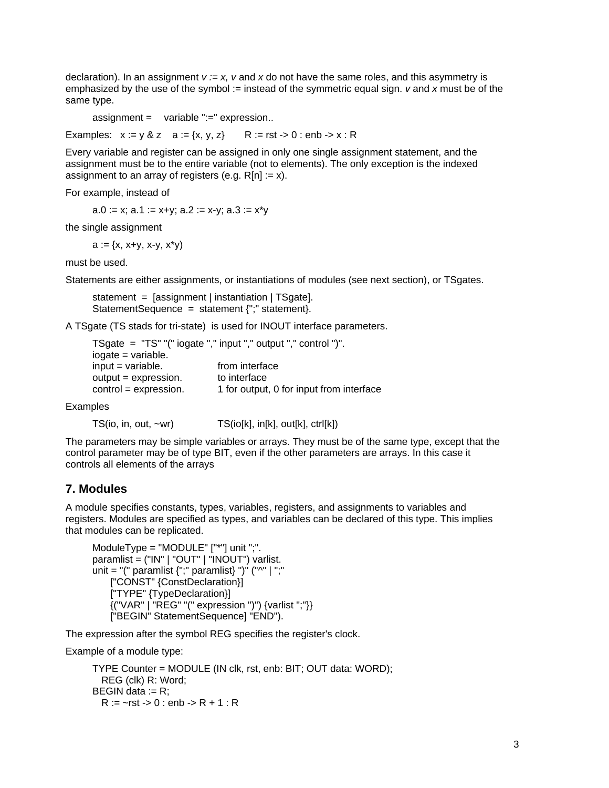declaration). In an assignment  $v := x$ , v and x do not have the same roles, and this asymmetry is emphasized by the use of the symbol := instead of the symmetric equal sign. *v* and *x* must be of the same type.

assignment = variable ":=" expression..

Examples:  $x := y \& z \quad a := \{x, y, z\}$  R := rst -> 0 : enb -> x : R

Every variable and register can be assigned in only one single assignment statement, and the assignment must be to the entire variable (not to elements). The only exception is the indexed assignment to an array of registers (e.g.  $R[n] := x$ ).

For example, instead of

a.0 := x; a.1 := x+y; a.2 := x-y; a.3 :=  $x^*y$ 

the single assignment

 $a := {x, x+y, x-y, x^*y}$ 

must be used.

Statements are either assignments, or instantiations of modules (see next section), or TSgates.

statement =  $[assert]$  instantiation  $|$  TSgatel. StatementSequence = statement {";" statement}.

A TSgate (TS stads for tri-state) is used for INOUT interface parameters.

```
TSgate = "TS" "(" iogate "," input "," output "," control ")". 
iogate = variable. 
input = variable. from interface
output = expression. to interface
control = expression. 1 for output, 0 for input from interface
```
Examples

TS(io, in, out, ~wr) TS(io[k], in[k], out[k], ctrl[k])

The parameters may be simple variables or arrays. They must be of the same type, except that the control parameter may be of type BIT, even if the other parameters are arrays. In this case it controls all elements of the arrays

#### **7. Modules**

A module specifies constants, types, variables, registers, and assignments to variables and registers. Modules are specified as types, and variables can be declared of this type. This implies that modules can be replicated.

```
ModuleType = "MODULE" ["*"] unit ";". 
paramlist = ("IN" | "OUT" | "INOUT") varlist. 
unit = "(" paramlist {";" paramlist} ")" ("^" | ";"
    ["CONST" {ConstDeclaration}] 
    ["TYPE" {TypeDeclaration}] 
    {("VAR" | "REG" "(" expression ")") {varlist ";"}} 
    ["BEGIN" StatementSequence] "END").
```
The expression after the symbol REG specifies the register's clock.

Example of a module type:

```
TYPE Counter = MODULE (IN clk, rst, enb: BIT; OUT data: WORD); 
  REG (clk) R: Word; 
BEGIN data := R:
 R := -rst - 0: enb -> R + 1: R
```